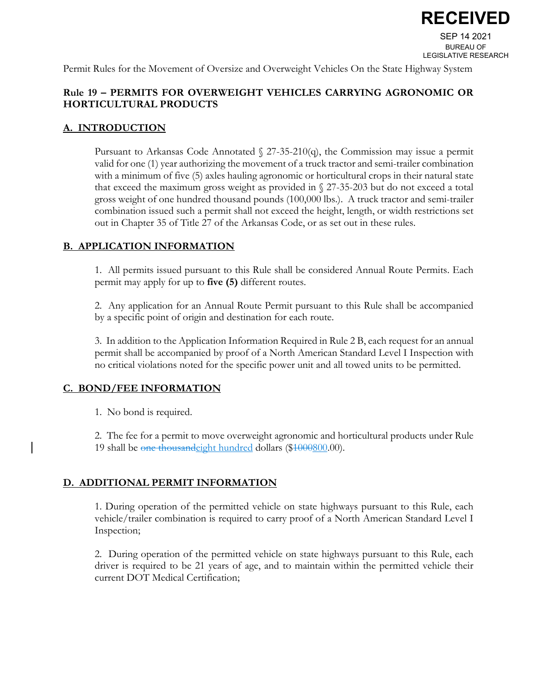

Permit Rules for the Movement of Oversize and Overweight Vehicles On the State Highway System

## **Rule 19 – PERMITS FOR OVERWEIGHT VEHICLES CARRYING AGRONOMIC OR HORTICULTURAL PRODUCTS**

#### **A. INTRODUCTION**

Pursuant to Arkansas Code Annotated § 27-35-210(q), the Commission may issue a permit valid for one (1) year authorizing the movement of a truck tractor and semi-trailer combination with a minimum of five (5) axles hauling agronomic or horticultural crops in their natural state that exceed the maximum gross weight as provided in § 27-35-203 but do not exceed a total gross weight of one hundred thousand pounds (100,000 lbs.). A truck tractor and semi-trailer combination issued such a permit shall not exceed the height, length, or width restrictions set out in Chapter 35 of Title 27 of the Arkansas Code, or as set out in these rules.

#### **B. APPLICATION INFORMATION**

1. All permits issued pursuant to this Rule shall be considered Annual Route Permits. Each permit may apply for up to **five (5)** different routes.

2. Any application for an Annual Route Permit pursuant to this Rule shall be accompanied by a specific point of origin and destination for each route.

3. In addition to the Application Information Required in Rule 2 B, each request for an annual permit shall be accompanied by proof of a North American Standard Level I Inspection with no critical violations noted for the specific power unit and all towed units to be permitted.

### **C. BOND/FEE INFORMATION**

1. No bond is required.

2. The fee for a permit to move overweight agronomic and horticultural products under Rule 19 shall be one thousandeight hundred dollars (\$1000800.00).

### **D. ADDITIONAL PERMIT INFORMATION**

1. During operation of the permitted vehicle on state highways pursuant to this Rule, each vehicle/trailer combination is required to carry proof of a North American Standard Level I Inspection;

2. During operation of the permitted vehicle on state highways pursuant to this Rule, each driver is required to be 21 years of age, and to maintain within the permitted vehicle their current DOT Medical Certification;